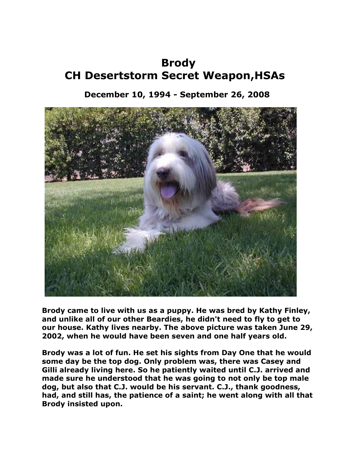## **Brody CH Desertstorm Secret Weapon,HSAs**

## **December 10, 1994 - September 26, 2008**



**Brody came to live with us as a puppy. He was bred by Kathy Finley, and unlike all of our other Beardies, he didn't need to fly to get to our house. Kathy lives nearby. The above picture was taken June 29, 2002, when he would have been seven and one half years old.**

**Brody was a lot of fun. He set his sights from Day One that he would some day be the top dog. Only problem was, there was Casey and Gilli already living here. So he patiently waited until C.J. arrived and made sure he understood that he was going to not only be top male dog, but also that C.J. would be his servant. C.J., thank goodness, had, and still has, the patience of a saint; he went along with all that Brody insisted upon.**